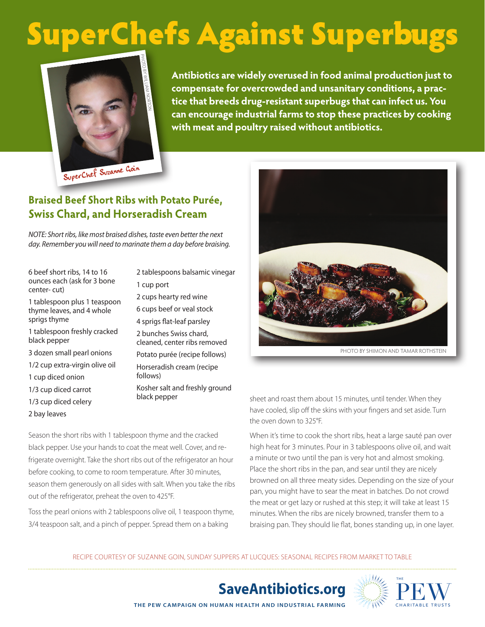## SuperChefs Against Superbugs



**Antibiotics are widely overused in food animal production just to compensate for overcrowded and unsanitary conditions, a practice that breeds drug-resistant superbugs that can infect us. You can encourage industrial farms to stop these practices by cooking with meat and poultry raised without antibiotics.**

SuperChef Suzanne Goin

## **Braised Beef Short Ribs with Potato Purée, Swiss Chard, and Horseradish Cream**

*NOTE: Short ribs, like most braised dishes, taste even better the next day. Remember you will need to marinate them a day before braising.*

6 beef short ribs, 14 to 16 ounces each (ask for 3 bone center- cut)

1 tablespoon plus 1 teaspoon thyme leaves, and 4 whole sprigs thyme

- 1 tablespoon freshly cracked black pepper
- 3 dozen small pearl onions
- 1/2 cup extra-virgin olive oil
- 1 cup diced onion
- 1/3 cup diced carrot
- 1/3 cup diced celery
- 2 bay leaves

2 tablespoons balsamic vinegar 1 cup port 2 cups hearty red wine 6 cups beef or veal stock 4 sprigs flat-leaf parsley 2 bunches Swiss chard, cleaned, center ribs removed Potato purée (recipe follows) Horseradish cream (recipe

follows) Kosher salt and freshly ground

Season the short ribs with 1 tablespoon thyme and the cracked black pepper. Use your hands to coat the meat well. Cover, and refrigerate overnight. Take the short ribs out of the refrigerator an hour before cooking, to come to room temperature. After 30 minutes, season them generously on all sides with salt. When you take the ribs out of the refrigerator, preheat the oven to 425°F.

Toss the pearl onions with 2 tablespoons olive oil, 1 teaspoon thyme, 3/4 teaspoon salt, and a pinch of pepper. Spread them on a baking



black pepper sheet and roast them about 15 minutes, until tender. When they have cooled, slip off the skins with your fingers and set aside. Turn the oven down to 325°F.

> When it's time to cook the short ribs, heat a large sauté pan over high heat for 3 minutes. Pour in 3 tablespoons olive oil, and wait a minute or two until the pan is very hot and almost smoking. Place the short ribs in the pan, and sear until they are nicely browned on all three meaty sides. Depending on the size of your pan, you might have to sear the meat in batches. Do not crowd the meat or get lazy or rushed at this step; it will take at least 15 minutes. When the ribs are nicely browned, transfer them to a braising pan. They should lie flat, bones standing up, in one layer.

Recipe courtesy of Suzanne Goin, Sunday Suppers at Lucques: Seasonal Recipes from Market to Table

**SaveAntibiotics.org**



**THE PEW CAMPAIGN ON HUMAN HEALTH AND INDUSTRIAL FARMING**